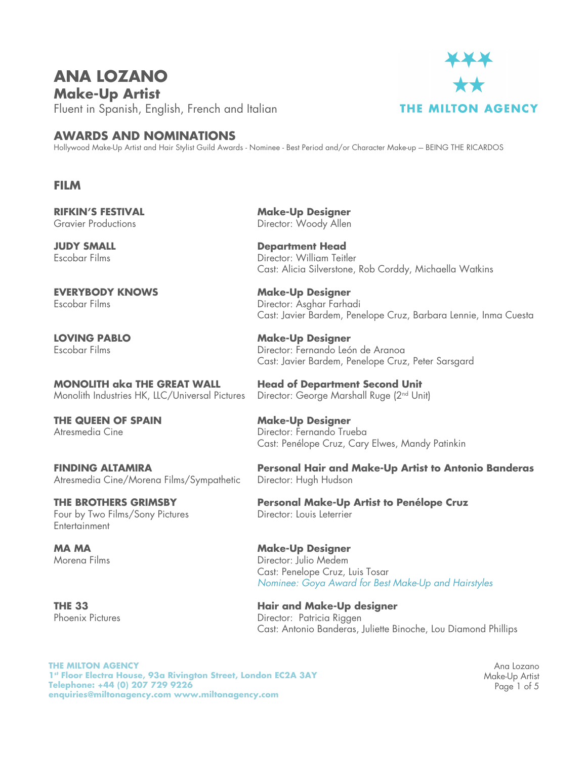## **ANA LOZANO Make-Up Artist**

Fluent in Spanish, English, French and Italian



## **AWARDS AND NOMINATIONS**

Hollywood Make-Up Artist and Hair Stylist Guild Awards - Nominee - Best Period and/or Character Make-up -- BEING THE RICARDOS

## **FILM**

**RIFKIN'S FESTIVAL** Gravier Productions

**JUDY SMALL** Escobar Films

**EVERYBODY KNOWS** Escobar Films

**LOVING PABLO** Escobar Films

**MONOLITH aka THE GREAT WALL** Monolith Industries HK, LLC/Universal Pictures

**THE QUEEN OF SPAIN** Atresmedia Cine

**FINDING ALTAMIRA** Atresmedia Cine/Morena Films/Sympathetic

**THE BROTHERS GRIMSBY** Four by Two Films/Sony Pictures **Entertainment** 

**MA MA** Morena Films

**THE 33** Phoenix Pictures **Make-Up Designer** Director: Woody Allen

**Department Head** Director: William Teitler Cast: Alicia Silverstone, Rob Corddy, Michaella Watkins

**Make-Up Designer** Director: Asghar Farhadi Cast: Javier Bardem, Penelope Cruz, Barbara Lennie, Inma Cuesta

**Make-Up Designer** Director: Fernando León de Aranoa Cast: Javier Bardem, Penelope Cruz, Peter Sarsgard

**Head of Department Second Unit** Director: George Marshall Ruge (2nd Unit)

**Make-Up Designer**  Director: Fernando Trueba Cast: Penélope Cruz, Cary Elwes, Mandy Patinkin

**Personal Hair and Make-Up Artist to Antonio Banderas** Director: Hugh Hudson

**Personal Make-Up Artist to Penélope Cruz** Director: Louis Leterrier

**Make-Up Designer**  Director: Julio Medem Cast: Penelope Cruz, Luis Tosar *Nominee: Goya Award for Best Make-Up and Hairstyles*

**Hair and Make-Up designer** Director: Patricia Riggen Cast: Antonio Banderas, Juliette Binoche, Lou Diamond Phillips

**THE MILTON AGENCY 1st Floor Electra House, 93a Rivington Street, London EC2A 3AY Telephone: +44 (0) 207 729 9226 enquiries@miltonagency.com www.miltonagency.com**

Ana Lozano Make-Up Artist Page 1 of 5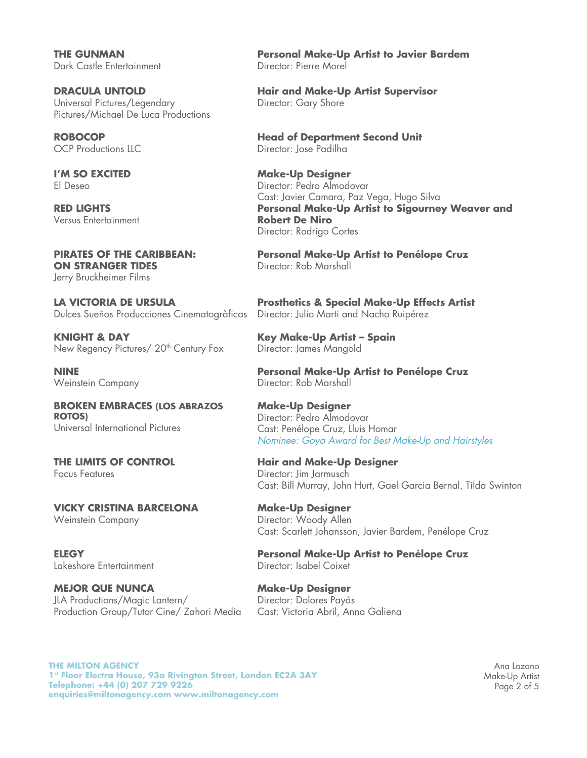**THE GUNMAN** Dark Castle Entertainment

**DRACULA UNTOLD** Universal Pictures/Legendary Pictures/Michael De Luca Productions

**ROBOCOP** OCP Productions LLC

**I'M SO EXCITED** El Deseo

**RED LIGHTS** Versus Entertainment

**PIRATES OF THE CARIBBEAN: ON STRANGER TIDES** Jerry Bruckheimer Films

**LA VICTORIA DE URSULA**  Dulces Sueños Producciones Cinematogràficas

**KNIGHT & DAY**  New Regency Pictures/ 20<sup>th</sup> Century Fox

**NINE** Weinstein Company

**BROKEN EMBRACES (LOS ABRAZOS ROTOS)** Universal International Pictures

**THE LIMITS OF CONTROL** Focus Features

**VICKY CRISTINA BARCELONA** Weinstein Company

**ELEGY**  Lakeshore Entertainment

**MEJOR QUE NUNCA**  JLA Productions/Magic Lantern/ Production Group/Tutor Cine/ Zahori Media

**Personal Make-Up Artist to Javier Bardem** Director: Pierre Morel

**Hair and Make-Up Artist Supervisor** Director: Gary Shore

**Head of Department Second Unit** Director: Jose Padilha

**Make-Up Designer**  Director: Pedro Almodovar Cast: Javier Camara, Paz Vega, Hugo Silva **Personal Make-Up Artist to Sigourney Weaver and Robert De Niro** Director: Rodrigo Cortes

**Personal Make-Up Artist to Penélope Cruz** Director: Rob Marshall

**Prosthetics & Special Make-Up Effects Artist** Director: Julio Marti and Nacho Ruipérez

**Key Make-Up Artist – Spain** Director: James Mangold

**Personal Make-Up Artist to Penélope Cruz** Director: Rob Marshall

**Make-Up Designer** Director: Pedro Almodovar Cast: Penélope Cruz, Lluis Homar *Nominee: Goya Award for Best Make-Up and Hairstyles*

**Hair and Make-Up Designer** Director: Jim Jarmusch Cast: Bill Murray, John Hurt, Gael Garcia Bernal, Tilda Swinton

**Make-Up Designer** Director: Woody Allen Cast: Scarlett Johansson, Javier Bardem, Penélope Cruz

**Personal Make-Up Artist to Penélope Cruz** Director: Isabel Coixet

**Make-Up Designer** Director: Dolores Payás Cast: Victoria Abril, Anna Galiena

**THE MILTON AGENCY 1st Floor Electra House, 93a Rivington Street, London EC2A 3AY Telephone: +44 (0) 207 729 9226 enquiries@miltonagency.com www.miltonagency.com**

Ana Lozano Make-Up Artist Page 2 of 5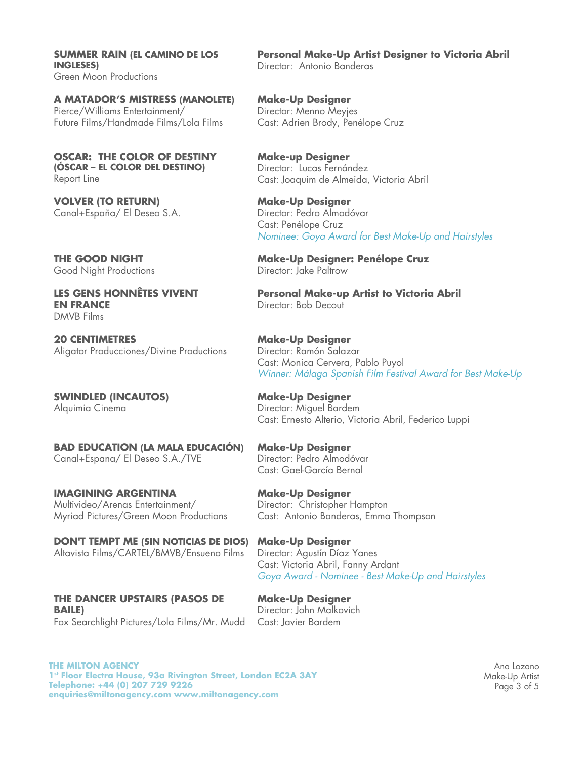**SUMMER RAIN (EL CAMINO DE LOS INGLESES)**  Green Moon Productions

**A MATADOR'S MISTRESS (MANOLETE)** Pierce/Williams Entertainment/ Future Films/Handmade Films/Lola Films

**OSCAR: THE COLOR OF DESTINY (ÓSCAR – EL COLOR DEL DESTINO)**  Report Line

**VOLVER (TO RETURN)** Canal+España/ El Deseo S.A.

**THE GOOD NIGHT**  Good Night Productions

**LES GENS HONNÊTES VIVENT EN FRANCE**  DMVB Films

**20 CENTIMETRES** Aligator Producciones/Divine Productions

**SWINDLED (INCAUTOS)**  Alquimia Cinema

**BAD EDUCATION (LA MALA EDUCACIÓN)** Canal+Espana/ El Deseo S.A./TVE

**IMAGINING ARGENTINA**  Multivideo/Arenas Entertainment/ Myriad Pictures/Green Moon Productions

**DON'T TEMPT ME (SIN NOTICIAS DE DIOS)**  Altavista Films/CARTEL/BMVB/Ensueno Films

**THE DANCER UPSTAIRS (PASOS DE BAILE)** Fox Searchlight Pictures/Lola Films/Mr. Mudd **Personal Make-Up Artist Designer to Victoria Abril** Director: Antonio Banderas

**Make-Up Designer** Director: Menno Meyjes Cast: Adrien Brody, Penélope Cruz

**Make-up Designer** Director: Lucas Fernández Cast: Joaquim de Almeida, Victoria Abril

**Make-Up Designer** Director: Pedro Almodóvar Cast: Penélope Cruz *Nominee: Goya Award for Best Make-Up and Hairstyles*

**Make-Up Designer: Penélope Cruz** Director: Jake Paltrow

**Personal Make-up Artist to Victoria Abril** Director: Bob Decout

**Make-Up Designer** Director: Ramón Salazar Cast: Monica Cervera, Pablo Puyol *Winner: Málaga Spanish Film Festival Award for Best Make-Up* 

**Make-Up Designer** Director: Miguel Bardem Cast: Ernesto Alterio, Victoria Abril, Federico Luppi

**Make-Up Designer** Director: Pedro Almodóvar Cast: Gael-García Bernal

**Make-Up Designer** Director: Christopher Hampton Cast: Antonio Banderas, Emma Thompson

**Make-Up Designer** Director: Agustín Díaz Yanes Cast: Victoria Abril, Fanny Ardant *Goya Award - Nominee - Best Make-Up and Hairstyles*

**Make-Up Designer** Director: John Malkovich Cast: Javier Bardem

**THE MILTON AGENCY 1st Floor Electra House, 93a Rivington Street, London EC2A 3AY Telephone: +44 (0) 207 729 9226 enquiries@miltonagency.com www.miltonagency.com**

Ana Lozano Make-Up Artist Page 3 of 5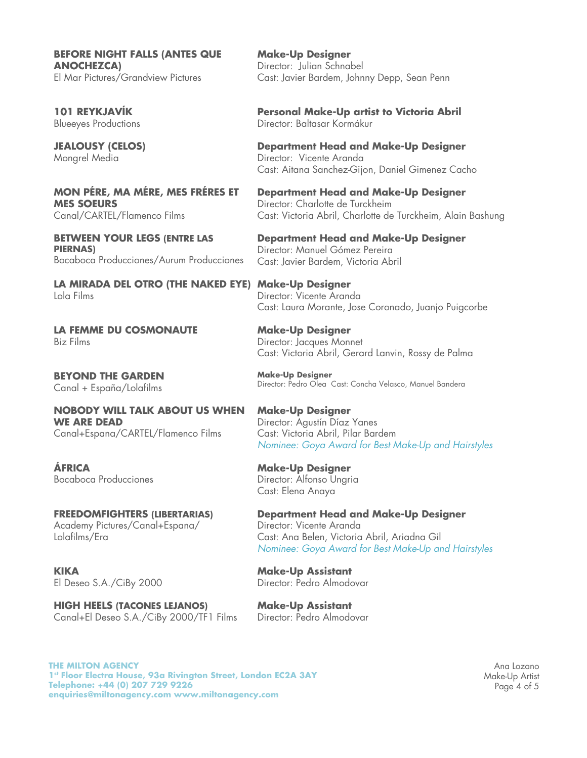**BEFORE NIGHT FALLS (ANTES QUE ANOCHEZCA)** El Mar Pictures/Grandview Pictures

**101 REYKJAVÍK** Blueeyes Productions

**JEALOUSY (CELOS)** Mongrel Media

**MON PÉRE, MA MÉRE, MES FRÉRES ET MES SOEURS**  Canal/CARTEL/Flamenco Films

**BETWEEN YOUR LEGS (ENTRE LAS PIERNAS)**  Bocaboca Producciones/Aurum Producciones

**LA MIRADA DEL OTRO (THE NAKED EYE) Make-Up Designer** Lola Films

**LA FEMME DU COSMONAUTE**  Biz Films

**BEYOND THE GARDEN** Canal + España/Lolafilms

**NOBODY WILL TALK ABOUT US WHEN WE ARE DEAD** Canal+Espana/CARTEL/Flamenco Films

**ÁFRICA** Bocaboca Producciones

**FREEDOMFIGHTERS (LIBERTARIAS)** Academy Pictures/Canal+Espana/ Lolafilms/Era

**KIKA**  El Deseo S.A./CiBy 2000

**HIGH HEELS (TACONES LEJANOS)** Canal+El Deseo S.A./CiBy 2000/TF1 Films

**Make-Up Designer** Director: Julian Schnabel Cast: Javier Bardem, Johnny Depp, Sean Penn

**Personal Make-Up artist to Victoria Abril** Director: Baltasar Kormákur

**Department Head and Make-Up Designer** Director: Vicente Aranda Cast: Aitana Sanchez-Gijon, Daniel Gimenez Cacho

**Department Head and Make-Up Designer** Director: Charlotte de Turckheim Cast: Victoria Abril, Charlotte de Turckheim, Alain Bashung

**Department Head and Make-Up Designer** Director: Manuel Gómez Pereira Cast: Javier Bardem, Victoria Abril

Director: Vicente Aranda Cast: Laura Morante, Jose Coronado, Juanjo Puigcorbe

**Make-Up Designer** Director: Jacques Monnet Cast: Victoria Abril, Gerard Lanvin, Rossy de Palma

**Make-Up Designer** Director: Pedro Olea Cast: Concha Velasco, Manuel Bandera

**Make-Up Designer** Director: Agustín Díaz Yanes Cast: Victoria Abril, Pilar Bardem *Nominee: Goya Award for Best Make-Up and Hairstyles*

**Make-Up Designer** Director: Alfonso Ungria Cast: Elena Anaya

**Department Head and Make-Up Designer** Director: Vicente Aranda Cast: Ana Belen, Victoria Abril, Ariadna Gil *Nominee: Goya Award for Best Make-Up and Hairstyles*

**Make-Up Assistant** Director: Pedro Almodovar

**Make-Up Assistant** Director: Pedro Almodovar

**THE MILTON AGENCY 1st Floor Electra House, 93a Rivington Street, London EC2A 3AY Telephone: +44 (0) 207 729 9226 enquiries@miltonagency.com www.miltonagency.com**

Ana Lozano Make-Up Artist Page 4 of 5